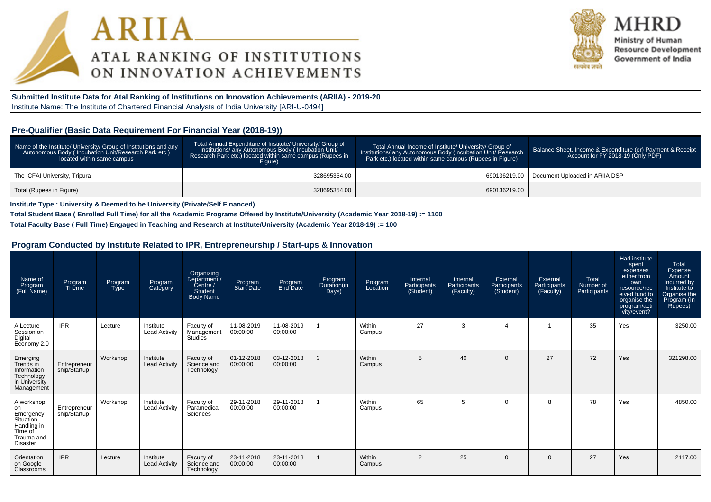



Ministry of Human **Resource Development** Government of India

**Submitted Institute Data for Atal Ranking of Institutions on Innovation Achievements (ARIIA) - 2019-20**Institute Name: The Institute of Chartered Financial Analysts of India University [ARI-U-0494]

#### **Pre-Qualifier (Basic Data Requirement For Financial Year (2018-19))**

| Name of the Institute/ University/ Group of Institutions and any<br>Autonomous Body (Incubation Unit/Research Park etc.)<br>located within same campus | Total Annual Expenditure of Institute/ University/ Group of<br>Institutions/ any Autonomous Body (Incubation Unit/<br>Research Park etc.) located within same campus (Rupees in<br>Fiaure) | Total Annual Income of Institute/ University/ Group of<br>Institutions/ any Autonomous Body (Incubation Unit/ Research<br>Park etc.) located within same campus (Rupees in Figure) | Balance Sheet, Income & Expenditure (or) Payment & Receipt<br>Account for FY 2018-19 (Only PDF) |
|--------------------------------------------------------------------------------------------------------------------------------------------------------|--------------------------------------------------------------------------------------------------------------------------------------------------------------------------------------------|------------------------------------------------------------------------------------------------------------------------------------------------------------------------------------|-------------------------------------------------------------------------------------------------|
| The ICFAI University, Tripura                                                                                                                          | 328695354.00                                                                                                                                                                               |                                                                                                                                                                                    | 690136219.00   Document Uploaded in ARIIA DSP                                                   |
| Total (Rupees in Figure)                                                                                                                               | 328695354.00                                                                                                                                                                               | 690136219.00                                                                                                                                                                       |                                                                                                 |

**Institute Type : University & Deemed to be University (Private/Self Financed)**

**Total Student Base ( Enrolled Full Time) for all the Academic Programs Offered by Institute/University (Academic Year 2018-19) := 1100**

**Total Faculty Base ( Full Time) Engaged in Teaching and Research at Institute/University (Academic Year 2018-19) := 100**

#### **Program Conducted by Institute Related to IPR, Entrepreneurship / Start-ups & Innovation**

| Name of<br>Program<br>(Full Name)                                                                     | Program<br>Theme             | Program<br><b>Type</b> | Program<br>Category               | Organizing<br>Department /<br>$\text{Centre }$<br>Student<br><b>Body Name</b> | Program<br>Start Date  | Program<br>End Date    | Program<br>Duration(in<br>Days) | Program<br>Location | Internal<br>Participants<br>(Student) | Internal<br>Participants<br>(Faculty) | External<br>Participants<br>(Student) | External<br>Participants<br>(Faculty) | Total<br>Number of<br>Participants | Had institute<br>spent<br>expenses<br>either from<br>own<br>resource/rec<br>eived fund to<br>organise the<br>program/acti<br>vity/event? | Total<br>Expense<br>Amount<br>Incurred by<br>Institute to<br>Organise the<br>Program (In<br>Rupees) |
|-------------------------------------------------------------------------------------------------------|------------------------------|------------------------|-----------------------------------|-------------------------------------------------------------------------------|------------------------|------------------------|---------------------------------|---------------------|---------------------------------------|---------------------------------------|---------------------------------------|---------------------------------------|------------------------------------|------------------------------------------------------------------------------------------------------------------------------------------|-----------------------------------------------------------------------------------------------------|
| A Lecture<br>Session on<br>Digital<br>Economy 2.0                                                     | <b>IPR</b>                   | Lecture                | Institute<br><b>Lead Activity</b> | Faculty of<br>Management<br>Studies                                           | 11-08-2019<br>00:00:00 | 11-08-2019<br>00:00:00 |                                 | Within<br>Campus    | 27                                    | 3                                     | $\overline{A}$                        |                                       | 35                                 | Yes                                                                                                                                      | 3250.00                                                                                             |
| Emerging<br>Trends in<br>Information<br>Technology<br>in University<br>Management                     | Entrepreneur<br>ship/Startup | Workshop               | Institute<br><b>Lead Activity</b> | Faculty of<br>Science and<br>Technology                                       | 01-12-2018<br>00:00:00 | 03-12-2018<br>00:00:00 | 3                               | Within<br>Campus    | 5                                     | 40                                    | $\Omega$                              | 27                                    | 72                                 | Yes                                                                                                                                      | 321298.00                                                                                           |
| A workshop<br>on<br>Emergency<br>Situation<br>Handling in<br>Time of<br>Trauma and<br><b>Disaster</b> | Entrepreneur<br>ship/Startup | Workshop               | Institute<br><b>Lead Activity</b> | Faculty of<br>Paramedical<br>Sciences                                         | 29-11-2018<br>00:00:00 | 29-11-2018<br>00:00:00 |                                 | Within<br>Campus    | 65                                    | 5                                     | $\Omega$                              | 8                                     | 78                                 | Yes                                                                                                                                      | 4850.00                                                                                             |
| Orientation<br>on Google<br>Classrooms                                                                | <b>IPR</b>                   | Lecture                | Institute<br><b>Lead Activity</b> | Faculty of<br>Science and<br>Technology                                       | 23-11-2018<br>00:00:00 | 23-11-2018<br>00:00:00 |                                 | Within<br>Campus    | $\overline{2}$                        | 25                                    | $\mathbf 0$                           | $\mathbf{0}$                          | 27                                 | Yes                                                                                                                                      | 2117.00                                                                                             |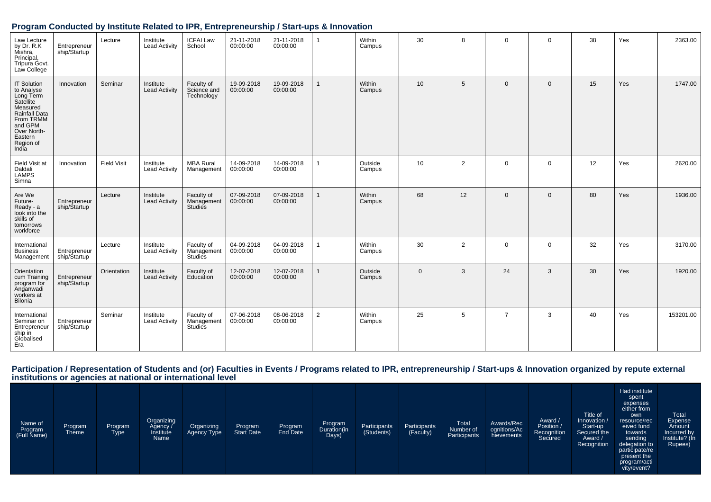#### **Program Conducted by Institute Related to IPR, Entrepreneurship / Start-ups & Innovation**

| Law Lecture<br>by Dr. R.K<br>Mishra,<br>Principal,<br>Tripura Govt.<br>Law College                                                                              | Entrepreneur<br>ship/Startup | Lecture            | Institute<br><b>Lead Activity</b> | <b>ICFAI Law</b><br>School              | 21-11-2018<br>00:00:00 | 21-11-2018<br>00:00:00 | $\mathbf{1}$ | Within<br>Campus  | 30          | 8              | $\mathbf 0$    | $\mathbf 0$ | 38 | Yes | 2363.00   |
|-----------------------------------------------------------------------------------------------------------------------------------------------------------------|------------------------------|--------------------|-----------------------------------|-----------------------------------------|------------------------|------------------------|--------------|-------------------|-------------|----------------|----------------|-------------|----|-----|-----------|
| <b>IT Solution</b><br>to Analyse<br>Long Term<br>Satellite<br>Measured<br>Rainfall Data<br>From TRMM<br>and GPM<br>Over North-<br>Eastern<br>Region of<br>India | Innovation                   | Seminar            | Institute<br><b>Lead Activity</b> | Faculty of<br>Science and<br>Technology | 19-09-2018<br>00:00:00 | 19-09-2018<br>00:00:00 | $\mathbf{1}$ | Within<br>Campus  | 10          | 5              | $\mathbf{0}$   | $\mathbf 0$ | 15 | Yes | 1747.00   |
| Field Visit at<br>Daldali<br><b>LAMPS</b><br>Simna                                                                                                              | Innovation                   | <b>Field Visit</b> | Institute<br><b>Lead Activity</b> | <b>MBA Rural</b><br>Management          | 14-09-2018<br>00:00:00 | 14-09-2018<br>00:00:00 |              | Outside<br>Campus | 10          | 2              | $\mathbf 0$    | $\mathbf 0$ | 12 | Yes | 2620.00   |
| Are We<br>Future-<br>Ready - a<br>look into the<br>skills of<br>tomorrows<br>workforce                                                                          | Entrepreneur<br>ship/Startup | Lecture            | Institute<br><b>Lead Activity</b> | Faculty of<br>Management<br>Studies     | 07-09-2018<br>00:00:00 | 07-09-2018<br>00:00:00 |              | Within<br>Campus  | 68          | 12             | $\Omega$       | $\mathbf 0$ | 80 | Yes | 1936.00   |
| International<br><b>Business</b><br>Management                                                                                                                  | Entrepreneur<br>ship/Startup | Lecture            | Institute<br><b>Lead Activity</b> | Faculty of<br>Management<br>Studies     | 04-09-2018<br>00:00:00 | 04-09-2018<br>00:00:00 | 1            | Within<br>Campus  | 30          | $\overline{2}$ | $\mathbf 0$    | $\mathbf 0$ | 32 | Yes | 3170.00   |
| Orientation<br>cum Training<br>program for<br>Anganwadi<br>workers at<br>Bilonia                                                                                | Entrepreneur<br>ship/Startup | Orientation        | Institute<br><b>Lead Activity</b> | Faculty of<br>Education                 | 12-07-2018<br>00:00:00 | 12-07-2018<br>00:00:00 | 1            | Outside<br>Campus | $\mathbf 0$ | 3              | 24             | 3           | 30 | Yes | 1920.00   |
| International<br>Seminar on<br>Entrepreneur<br>ship in<br>Globalised<br>Era                                                                                     | Entrepreneur<br>ship/Startup | Seminar            | Institute<br><b>Lead Activity</b> | Faculty of<br>Management<br>Studies     | 07-06-2018<br>00:00:00 | 08-06-2018<br>00:00:00 | 2            | Within<br>Campus  | 25          | 5              | $\overline{7}$ | 3           | 40 | Yes | 153201.00 |

# Participation / Representation of Students and (or) Faculties in Events / Programs related to IPR, entrepreneurship / Start-ups & Innovation organized by repute external<br>institutions or agencies at national or internationa

| Name of<br>Program<br>(Full Name) | Program<br>Theme | Program<br><b>Type</b> | Organizing<br>Agency /<br>Institute<br>Name | Organizing<br>Agency Type | Program<br><b>Start Date</b> | Program | Program<br>Duration(in<br>Days) | Participants<br>(Students) | Participants<br>(Faculty) | <b>Total</b><br>Number of<br>Participants | Awards/Rec<br>ognitions/Ac<br>hievements | Award /<br>Position /<br>Recognition<br>Secured | Title of<br>Innovation /<br>Start-up<br>Secured the<br>Award /<br>Recognition | Had institute<br>spent<br>expenses<br>either from<br>own<br>resource/rec<br>eived fund<br>towards<br>sending<br>delegation to<br>participate/re<br>present the<br>program/acti<br>vity/event? | Total<br>Expense<br>Amount<br>Incurred by<br>Institute? (In<br>Rupees) |
|-----------------------------------|------------------|------------------------|---------------------------------------------|---------------------------|------------------------------|---------|---------------------------------|----------------------------|---------------------------|-------------------------------------------|------------------------------------------|-------------------------------------------------|-------------------------------------------------------------------------------|-----------------------------------------------------------------------------------------------------------------------------------------------------------------------------------------------|------------------------------------------------------------------------|
|-----------------------------------|------------------|------------------------|---------------------------------------------|---------------------------|------------------------------|---------|---------------------------------|----------------------------|---------------------------|-------------------------------------------|------------------------------------------|-------------------------------------------------|-------------------------------------------------------------------------------|-----------------------------------------------------------------------------------------------------------------------------------------------------------------------------------------------|------------------------------------------------------------------------|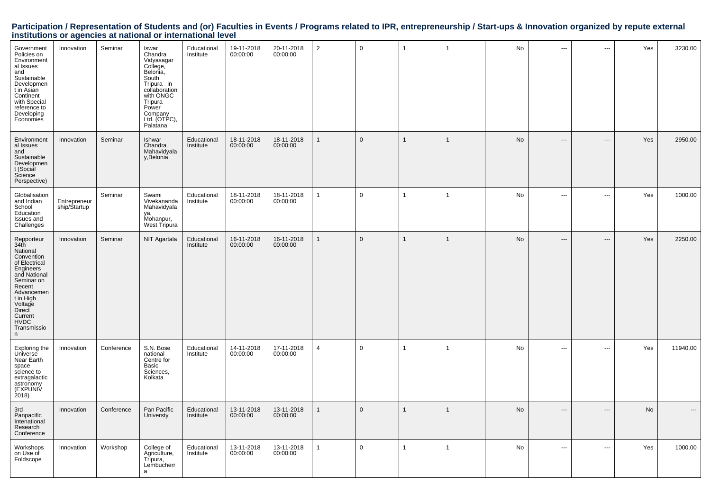# Participation / Representation of Students and (or) Faculties in Events / Programs related to IPR, entrepreneurship / Start-ups & Innovation organized by repute external<br>institutions or agencies at national or internationa

| Government<br>Policies on<br>Environment<br>al Issues<br>and<br>Sustainable<br>Developmen<br>t in Asian<br>Continent<br>with Special<br>reference to<br>Developing<br>Economies                                  | Innovation                   | Seminar    | Iswar<br>Chandra<br>Vidyasagar<br>College,<br>Belonia,<br>South<br>Tripura in<br>collaboration<br>with ONGC<br>Tripura<br>Power<br>Company<br>Ltd. (OTPC),<br>Palatana | Educational<br>Institute | 19-11-2018<br>00:00:00 | 20-11-2018<br>00:00:00 | $\overline{2}$ | $\mathbf 0$  | $\overline{1}$ | $\mathbf{1}$   | <b>No</b> | $\cdots$                 | ÷÷.   | Yes        | 3230.00  |
|------------------------------------------------------------------------------------------------------------------------------------------------------------------------------------------------------------------|------------------------------|------------|------------------------------------------------------------------------------------------------------------------------------------------------------------------------|--------------------------|------------------------|------------------------|----------------|--------------|----------------|----------------|-----------|--------------------------|-------|------------|----------|
| Environment<br>al Issues<br>and<br>Sustainable<br>Developmen<br>t (Social<br>Science<br>Perspective)                                                                                                             | Innovation                   | Seminar    | Ishwar<br>Chandra<br>Mahavidyala<br>v.Belonia                                                                                                                          | Educational<br>Institute | 18-11-2018<br>00:00:00 | 18-11-2018<br>00:00:00 | $\overline{1}$ | $\mathbf 0$  | $\mathbf{1}$   | $\mathbf{1}$   | No        | $\overline{\phantom{a}}$ | ---   | Yes        | 2950.00  |
| Globalisation<br>and Indian<br>School<br>Education<br>Issues and<br>Challenges                                                                                                                                   | Entrepreneur<br>ship/Startup | Seminar    | Swami<br>Vivekananda<br>Mahavidyala<br>ya,<br>Mohanpur,<br>West Tripura                                                                                                | Educational<br>Institute | 18-11-2018<br>00:00:00 | 18-11-2018<br>00:00:00 | $\overline{1}$ | $\mathsf{O}$ | $\overline{1}$ | $\mathbf{1}$   | No        | ---                      | ---   | Yes        | 1000.00  |
| Repporteur<br>34th<br>National<br>Convention<br>of Electrical<br>Engineers<br>and National<br>Seminar on<br>Recent<br>Advancemen<br>t in High<br>Voltage<br>Direct<br>Current<br><b>HVDC</b><br>Transmissio<br>n | Innovation                   | Seminar    | NIT Agartala                                                                                                                                                           | Educational<br>Institute | 16-11-2018<br>00:00:00 | 16-11-2018<br>00:00:00 | $\overline{1}$ | $\Omega$     | $\mathbf{1}$   | $\mathbf{1}$   | <b>No</b> | $\hspace{0.05cm} \ldots$ | $---$ | <b>Yes</b> | 2250.00  |
| Exploring the<br>Universe<br>Near Earth<br>space<br>science to<br>extragalactic<br>astronomy<br>(EXPUNIV<br>2018                                                                                                 | Innovation                   | Conference | S.N. Bose<br>national<br>Centre for<br>Basic<br>Sciences,<br>Kolkata                                                                                                   | Educational<br>Institute | 14-11-2018<br>00:00:00 | 17-11-2018<br>00:00:00 | $\overline{4}$ | $\mathsf{O}$ | $\overline{1}$ | $\overline{1}$ | No        | $\sim$                   | ---   | Yes        | 11940.00 |
| 3rd<br>Panpacific<br>Intenational<br>Research<br>Conference                                                                                                                                                      | Innovation                   | Conference | Pan Pacific<br>Universty                                                                                                                                               | Educational<br>Institute | 13-11-2018<br>00:00:00 | 13-11-2018<br>00:00:00 | $\overline{1}$ | $\mathbf{0}$ | $\mathbf{1}$   | $\mathbf{1}$   | <b>No</b> | ---                      | $---$ | No         |          |
| Workshops<br>on Use of<br>Foldscope                                                                                                                                                                              | Innovation                   | Workshop   | College of<br>Agriculture,<br>Tripura,<br>Lembucherr<br>a                                                                                                              | Educational<br>Institute | 13-11-2018<br>00:00:00 | 13-11-2018<br>00:00:00 | $\overline{1}$ | $\mathbf 0$  | $\overline{1}$ | $\mathbf{1}$   | No        | $\overline{a}$           | ---   | Yes        | 1000.00  |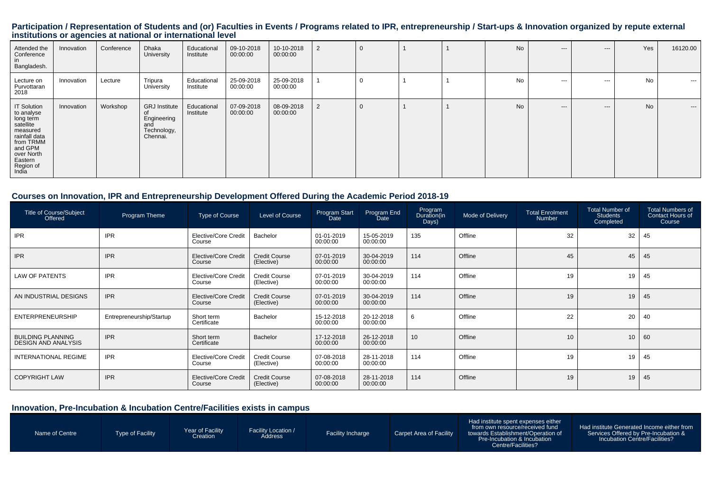# Participation / Representation of Students and (or) Faculties in Events / Programs related to IPR, entrepreneurship / Start-ups & Innovation organized by repute external<br>institutions or agencies at national or internationa

| Attended the<br>Conference<br>in<br>Bangladesh.                                                                                                                | Innovation | Conference | Dhaka<br>University                                                   | Educational<br>Institute | 09-10-2018<br>00:00:00 | 10-10-2018<br>00:00:00 | 2              | 0 |  | No        | $---$    | $---$    | Yes       | 16120.00 |
|----------------------------------------------------------------------------------------------------------------------------------------------------------------|------------|------------|-----------------------------------------------------------------------|--------------------------|------------------------|------------------------|----------------|---|--|-----------|----------|----------|-----------|----------|
| Lecture on<br>Purvottaran<br>2018                                                                                                                              | Innovation | Lecture    | Tripura<br>University                                                 | Educational<br>Institute | 25-09-2018<br>00:00:00 | 25-09-2018<br>00:00:00 |                |   |  | <b>No</b> | $\cdots$ | $\cdots$ | No        | $- - -$  |
| <b>IT Solution</b><br>to analyse<br>long term<br>satellite<br>measured<br>rainfall data<br>from TRMM<br>and GPM<br>over North<br>Eastern<br>Region of<br>India | Innovation | Workshop   | <b>GRJ</b> Institute<br>Engineering<br>and<br>Technology,<br>Chennai. | Educational<br>Institute | 07-09-2018<br>00:00:00 | 08-09-2018<br>00:00:00 | $\overline{2}$ |   |  | No        | $--$     | $---$    | <b>No</b> | $---$    |

#### **Courses on Innovation, IPR and Entrepreneurship Development Offered During the Academic Period 2018-19**

| Title of Course/Subject<br>Offered                     | <b>Program Theme</b>     | Type of Course                 | Level of Course                    | Program Start<br>Date  | Program End<br>Date    | Program<br>Duration(in<br>Days) | Mode of Delivery | <b>Total Enrolment</b><br><b>Number</b> | <b>Total Number of</b><br>Students<br>Completed | <b>Total Numbers of</b><br><b>Contact Hours of</b><br>Course |
|--------------------------------------------------------|--------------------------|--------------------------------|------------------------------------|------------------------|------------------------|---------------------------------|------------------|-----------------------------------------|-------------------------------------------------|--------------------------------------------------------------|
| <b>IPR</b>                                             | <b>IPR</b>               | Elective/Core Credit<br>Course | Bachelor                           | 01-01-2019<br>00:00:00 | 15-05-2019<br>00:00:00 | 135                             | Offline          | 32                                      | 32                                              | 45                                                           |
| <b>IPR</b>                                             | <b>IPR</b>               | Elective/Core Credit<br>Course | <b>Credit Course</b><br>(Elective) | 07-01-2019<br>00:00:00 | 30-04-2019<br>00:00:00 | 114                             | Offline          | 45                                      | 45                                              | 45                                                           |
| <b>LAW OF PATENTS</b>                                  | <b>IPR</b>               | Elective/Core Credit<br>Course | <b>Credit Course</b><br>(Elective) | 07-01-2019<br>00:00:00 | 30-04-2019<br>00:00:00 | 114                             | Offline          | 19                                      | 19                                              | 45                                                           |
| AN INDUSTRIAL DESIGNS                                  | <b>IPR</b>               | Elective/Core Credit<br>Course | <b>Credit Course</b><br>(Elective) | 07-01-2019<br>00:00:00 | 30-04-2019<br>00:00:00 | 114                             | Offline          | 19                                      | 19                                              | 45                                                           |
| <b>ENTERPRENEURSHIP</b>                                | Entrepreneurship/Startup | Short term<br>Certificate      | Bachelor                           | 15-12-2018<br>00:00:00 | 20-12-2018<br>00:00:00 | 6                               | Offline          | 22                                      | 20                                              | 40                                                           |
| <b>BUILDING PLANNING</b><br><b>DESIGN AND ANALYSIS</b> | <b>IPR</b>               | Short term<br>Certificate      | Bachelor                           | 17-12-2018<br>00:00:00 | 26-12-2018<br>00:00:00 | 10                              | Offline          | 10                                      | 10                                              | 60                                                           |
| <b>INTERNATIONAL REGIME</b>                            | <b>IPR</b>               | Elective/Core Credit<br>Course | <b>Credit Course</b><br>(Elective) | 07-08-2018<br>00:00:00 | 28-11-2018<br>00:00:00 | 114                             | Offline          | 19                                      | 19                                              | 45                                                           |
| <b>COPYRIGHT LAW</b>                                   | <b>IPR</b>               | Elective/Core Credit<br>Course | <b>Credit Course</b><br>(Elective) | 07-08-2018<br>00:00:00 | 28-11-2018<br>00:00:00 | 114                             | Offline          | 19                                      | 19                                              | 45                                                           |

### **Innovation, Pre-Incubation & Incubation Centre/Facilities exists in campus**

| Name of Centre | Type of Facility | Year of Facility<br>Creation | <b>Facility Location /</b><br>Address | <b>Facility Incharge</b> | Carpet Area of Facility | Had institute spent expenses either<br>from own resource/received fund<br>towards Establishment/Operation of<br><b>Pre-Incubation &amp; Incubation</b><br>Centre/Facilities? | Had institute Generated Income either from<br>Services Offered by Pre-Incubation &<br><b>Incubation Centre/Facilities?</b> |
|----------------|------------------|------------------------------|---------------------------------------|--------------------------|-------------------------|------------------------------------------------------------------------------------------------------------------------------------------------------------------------------|----------------------------------------------------------------------------------------------------------------------------|
|----------------|------------------|------------------------------|---------------------------------------|--------------------------|-------------------------|------------------------------------------------------------------------------------------------------------------------------------------------------------------------------|----------------------------------------------------------------------------------------------------------------------------|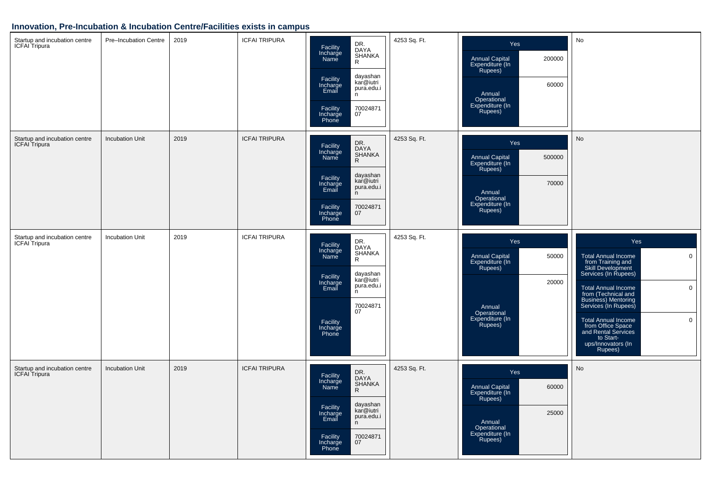#### **Innovation, Pre-Incubation & Incubation Centre/Facilities exists in campus**

| Startup and incubation centre<br><b>ICFAI</b> Tripura | Pre-Incubation Centre  | 2019 | <b>ICFAI TRIPURA</b> | DR.<br>Facility<br>DAYA<br>Incharge<br>Name<br>SHANKA<br>$\mathsf{R}$<br>dayashan<br>Facility<br>kar@iutri<br>Incharge<br>Email<br>pura.edu.i<br>n<br>70024871<br>Facility<br>Incharge<br>07<br>Phone         | 4253 Sq. Ft. | Yes<br>Annual Capital<br>Expenditure (In<br>Rupees)<br>200000<br>60000<br>Annual<br>Operational<br>Expenditure (In<br>Rupees)       | No                                                                                                                                                                                                                                                                                                                                                                    |
|-------------------------------------------------------|------------------------|------|----------------------|---------------------------------------------------------------------------------------------------------------------------------------------------------------------------------------------------------------|--------------|-------------------------------------------------------------------------------------------------------------------------------------|-----------------------------------------------------------------------------------------------------------------------------------------------------------------------------------------------------------------------------------------------------------------------------------------------------------------------------------------------------------------------|
| Startup and incubation centre<br>ICFAI Tripura        | <b>Incubation Unit</b> | 2019 | <b>ICFAI TRIPURA</b> | DR.<br>DAYA<br>Facility<br>Incharge<br>SHANKA<br>Name<br>$\mathsf{R}$<br>dayashan<br>Facility<br>kar@iutri<br>Incharge<br>Email<br>pura.edu.i<br>n<br>70024871<br>Facility<br>07<br>Incharge<br>Phone         | 4253 Sq. Ft. | Yes<br>500000<br>Annual Capital<br>Expenditure (In<br>Rupees)<br>70000<br>Annual<br>Operational<br>Expenditure (In<br>Rupees)       | No                                                                                                                                                                                                                                                                                                                                                                    |
| Startup and incubation centre<br><b>ICFAI</b> Tripura | Incubation Unit        | 2019 | <b>ICFAI TRIPURA</b> | DR.<br>Facility<br>Incharge<br>Name<br><b>DAYA</b><br>SHANKA<br>$\mathsf{R}$<br>dayashan<br>kar@iutri<br>Facility<br>Incharge<br>Email<br>pura.edu.i<br>n.<br>70024871<br>07<br>Facility<br>Incharge<br>Phone | 4253 Sq. Ft. | Yes<br><b>Annual Capital</b><br>50000<br>Expenditure (In<br>Rupees)<br>20000<br>Annual<br>Operational<br>Expenditure (In<br>Rupees) | Yes<br>$\mathbf 0$<br><b>Total Annual Income</b><br>from Training and<br>Skill Development<br>Services (In Rupees)<br>$\mathbf 0$<br>Total Annual Income<br>from (Technical and<br>Business) Mentoring<br>Services (In Rupees)<br>$\mathbf 0$<br><b>Total Annual Income</b><br>from Office Space<br>and Rental Services<br>to Start-<br>ups/Innovators (In<br>Rupees) |
| Startup and incubation centre<br><b>ICFAI</b> Tripura | Incubation Unit        | 2019 | <b>ICFAI TRIPURA</b> | DR.<br>Facility<br>Incharge<br><b>DAYA</b><br>SHANKA<br>Name<br>$\mathsf{R}$<br>dayashan<br>kar@iutri<br>Facility<br>Incharge<br>Email<br>pura.edu.i<br>n<br>70024871<br>Facility<br>07<br>Incharge<br>Phone  | 4253 Sq. Ft. | Yes<br><b>Annual Capital</b><br>60000<br>Expenditure (In<br>Rupees)<br>25000<br>Annual<br>Operational<br>Expenditure (In<br>Rupees) | <b>No</b>                                                                                                                                                                                                                                                                                                                                                             |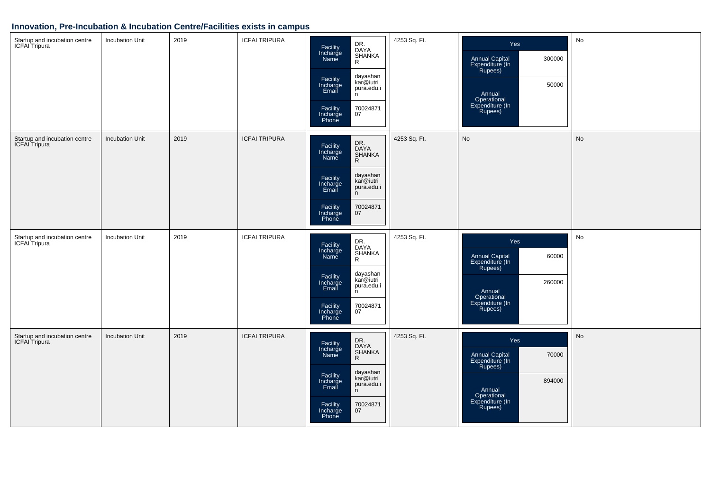#### **Innovation, Pre-Incubation & Incubation Centre/Facilities exists in campus**

| Startup and incubation centre<br>ICFAI Tripura        | <b>Incubation Unit</b> | 2019 | <b>ICFAI TRIPURA</b> | DR.<br>DAYA<br>SHANKA<br>R<br>Facility<br>Incharge<br>Name<br>dayashan<br>kar@iutri<br>Facility<br>Incharge<br>Email<br>pura.edu.i<br>n<br>70024871<br>07<br>Facility<br>Incharge<br>Phone  | 4253 Sq. Ft. | Yes<br>300000<br><b>Annual Capital</b><br>Expenditure (In<br>Rupees)<br>50000<br>Annual<br>Operational<br>Expenditure (In<br>Rupees) | No |
|-------------------------------------------------------|------------------------|------|----------------------|---------------------------------------------------------------------------------------------------------------------------------------------------------------------------------------------|--------------|--------------------------------------------------------------------------------------------------------------------------------------|----|
| Startup and incubation centre<br><b>ICFAI</b> Tripura | <b>Incubation Unit</b> | 2019 | <b>ICFAI TRIPURA</b> | DR.<br>DAYA<br>Facility<br>Incharge<br>Name<br>SHANKA<br>R<br>dayashan<br>Facility<br>kar@iutri<br>Incharge<br>Email<br>pura.edu.i<br>n<br>70024871<br>Facility<br>Incharge<br>07<br>Phone  | 4253 Sq. Ft. | No                                                                                                                                   | No |
| Startup and incubation centre<br><b>ICFAI</b> Tripura | <b>Incubation Unit</b> | 2019 | <b>ICFAI TRIPURA</b> | DR.<br>DAYA<br>Facility<br>Incharge<br>SHANKA<br>R<br>Name<br>dayashan<br>Facility<br>Incharge<br>Email<br>kar@iutri<br>pura.edu.i<br>n.<br>70024871<br>Facility<br>Incharge<br>07<br>Phone | 4253 Sq. Ft. | Yes<br>Annual Capital<br>Expenditure (In<br>60000<br>Rupees)<br>260000<br>Annual<br>Operational<br>Expenditure (In<br>Rupees)        | No |
| Startup and incubation centre<br>ICFAI Tripura        | <b>Incubation Unit</b> | 2019 | <b>ICFAI TRIPURA</b> | DR.<br>DAYA<br>SHANKA<br>R<br>Facility<br>Incharge<br>Name<br>dayashan<br>kar@iutri<br>Facility<br>Incharge<br>Email<br>pura.edu.i<br>n<br>70024871<br>07<br>Facility<br>Incharge<br>Phone  | 4253 Sq. Ft. | Yes<br>70000<br>Annual Capital<br>Expenditure (In<br>Rupees)<br>894000<br>Annual<br>Operational<br>Expenditure (In<br>Rupees)        | No |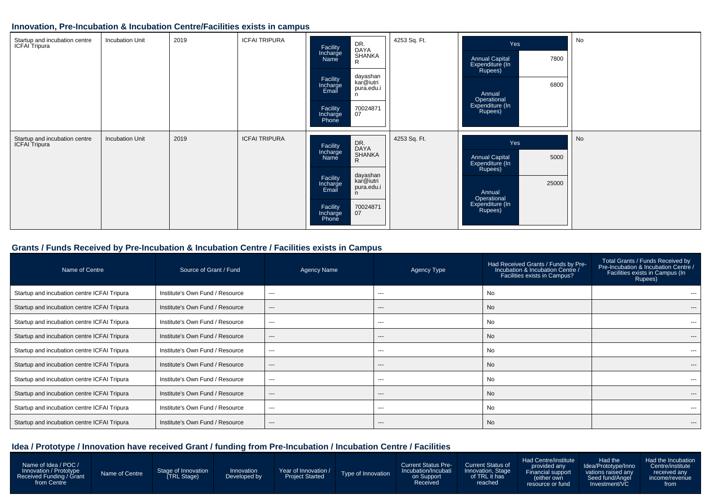#### **Innovation, Pre-Incubation & Incubation Centre/Facilities exists in campus**

| Startup and incubation centre<br>ICFAI Tripura | <b>Incubation Unit</b> | 2019 | <b>ICFAI TRIPURA</b> | DR.<br>DAYA<br>SHANKA<br>R<br>Facility<br>Incharge<br>Name<br>dayashan<br>kar@iutri<br>Facility<br>Incharge<br>Email<br>pura.edu.i<br>n<br>70024871<br>07<br>Facility<br>Incharge<br>Phone            | 4253 Sq. Ft. | Yes<br>7800<br><b>Annual Capital</b><br>Expenditure (In<br>Rupees)<br>6800<br>Annual<br>Operational<br>Expenditure (In<br>Rupees)  | No |
|------------------------------------------------|------------------------|------|----------------------|-------------------------------------------------------------------------------------------------------------------------------------------------------------------------------------------------------|--------------|------------------------------------------------------------------------------------------------------------------------------------|----|
| Startup and incubation centre<br>ICFAI Tripura | <b>Incubation Unit</b> | 2019 | <b>ICFAI TRIPURA</b> | DR.<br>DAYA<br>SHANKA<br>Facility<br>Incharge<br>Name<br>$\mathsf{R}$<br>dayashan<br>kar@iutri<br>Facility<br>Incharge<br>pura.edu.i<br>Email<br>n<br>70024871<br>07<br>Facility<br>Incharge<br>Phone | 4253 Sq. Ft. | Yes<br><b>Annual Capital</b><br>5000<br>Expenditure (In<br>Rupees)<br>25000<br>Annual<br>Operational<br>Expenditure (In<br>Rupees) | No |

#### **Grants / Funds Received by Pre-Incubation & Incubation Centre / Facilities exists in Campus**

| Name of Centre                              | Source of Grant / Fund          | Agency Name | Agency Type | Had Received Grants / Funds by Pre-<br>Incubation & Incubation Centre /<br>Facilities exists in Campus? | Total Grants / Funds Received by<br>Pre-Incubation & Incubation Centre /<br>Facilities exists in Campus (In<br>Rupees) |
|---------------------------------------------|---------------------------------|-------------|-------------|---------------------------------------------------------------------------------------------------------|------------------------------------------------------------------------------------------------------------------------|
| Startup and incubation centre ICFAI Tripura | Institute's Own Fund / Resource | $---$       | ---         | No                                                                                                      |                                                                                                                        |
| Startup and incubation centre ICFAI Tripura | Institute's Own Fund / Resource | ---         | ---         | <b>No</b>                                                                                               | ---                                                                                                                    |
| Startup and incubation centre ICFAI Tripura | Institute's Own Fund / Resource | $\cdots$    | ---         | No                                                                                                      | $---$                                                                                                                  |
| Startup and incubation centre ICFAI Tripura | Institute's Own Fund / Resource | $---$       | $---$       | <b>No</b>                                                                                               | $---$                                                                                                                  |
| Startup and incubation centre ICFAI Tripura | Institute's Own Fund / Resource | $---$       | ---         | No                                                                                                      | ---                                                                                                                    |
| Startup and incubation centre ICFAI Tripura | Institute's Own Fund / Resource | ---         | ---         | No                                                                                                      | ---                                                                                                                    |
| Startup and incubation centre ICFAI Tripura | Institute's Own Fund / Resource | ---         | ---         | No                                                                                                      | $- - -$                                                                                                                |
| Startup and incubation centre ICFAI Tripura | Institute's Own Fund / Resource | ---         | ---         | No                                                                                                      | ---                                                                                                                    |
| Startup and incubation centre ICFAI Tripura | Institute's Own Fund / Resource | ---         | ---         | <b>No</b>                                                                                               | $- - -$                                                                                                                |
| Startup and incubation centre ICFAI Tripura | Institute's Own Fund / Resource | ---         | ---         | No                                                                                                      | $---$                                                                                                                  |

### **Idea / Prototype / Innovation have received Grant / funding from Pre-Incubation / Incubation Centre / Facilities**

| Name of Idea / POC /<br>Innovation / Prototype<br>Received Funding / Grant<br>from Centre | Name of Centre | Stage of Innovation<br><b>TRL Stage)</b> | Innovation<br>Developed by | Year of Innovation /<br><b>Project Started</b> | Type of Innovation | <b>Current Status Pre-</b><br>Incubation/Incubati<br>on Support<br>Received | <b>Current Status of</b><br>Innovation, Stage<br>of TRL it has<br>reached | Had Centre/institute<br>provided any<br>Financial support<br>$\sim$ either own<br>resource or fund | Had the<br>Idea/Prototype/Inno<br>vations raised any<br>Seed fund/Angel<br>Investment/VC | Had the Incubation<br>Centre/institute<br>received any<br>lincome/revenue<br>trom |
|-------------------------------------------------------------------------------------------|----------------|------------------------------------------|----------------------------|------------------------------------------------|--------------------|-----------------------------------------------------------------------------|---------------------------------------------------------------------------|----------------------------------------------------------------------------------------------------|------------------------------------------------------------------------------------------|-----------------------------------------------------------------------------------|
|-------------------------------------------------------------------------------------------|----------------|------------------------------------------|----------------------------|------------------------------------------------|--------------------|-----------------------------------------------------------------------------|---------------------------------------------------------------------------|----------------------------------------------------------------------------------------------------|------------------------------------------------------------------------------------------|-----------------------------------------------------------------------------------|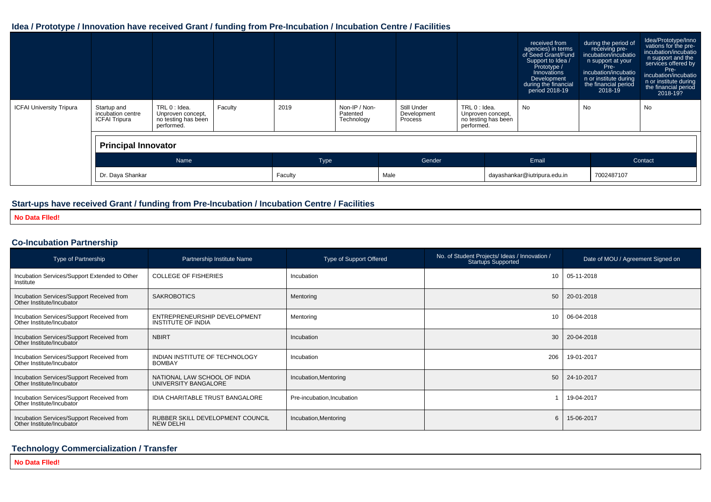#### **Idea / Prototype / Innovation have received Grant / funding from Pre-Incubation / Incubation Centre / Facilities**

|                                 |                                                          |                                                                         |         |             |                                         |  |                                                                                                                  |  |                              | received from<br>agencies) in terms<br>of Seed Grant/Fund<br>Support to Idea /<br>Prototype /<br>Innovations<br>Development<br>during the financial<br>period 2018-19 | during the period of<br>receiving pre-<br>incubation/incubatio<br>n support at your<br>Pre-<br>incubation/incubatio<br>n or institute during<br>the financial period<br>$2018 - 19$ | Idea/Prototype/Inno<br>vations for the pre-<br>incubation/incubatio<br>n support and the<br>services offered by<br>Pre-<br>incubation/incubatio<br>n or institute during<br>the financial period<br>2018-19? |  |
|---------------------------------|----------------------------------------------------------|-------------------------------------------------------------------------|---------|-------------|-----------------------------------------|--|------------------------------------------------------------------------------------------------------------------|--|------------------------------|-----------------------------------------------------------------------------------------------------------------------------------------------------------------------|-------------------------------------------------------------------------------------------------------------------------------------------------------------------------------------|--------------------------------------------------------------------------------------------------------------------------------------------------------------------------------------------------------------|--|
| <b>ICFAI University Tripura</b> | Startup and<br>incubation centre<br><b>ICFAI Tripura</b> | TRL 0 : Idea.<br>Unproven concept,<br>no testing has been<br>performed. | Faculty | 2019        | Non-IP / Non-<br>Patented<br>Technology |  | Still Under<br>TRL 0 : Idea.<br>Development<br>Unproven concept,<br>Process<br>no testing has been<br>performed. |  | <b>No</b>                    | No                                                                                                                                                                    | No                                                                                                                                                                                  |                                                                                                                                                                                                              |  |
|                                 | <b>Principal Innovator</b>                               |                                                                         |         |             |                                         |  |                                                                                                                  |  |                              |                                                                                                                                                                       |                                                                                                                                                                                     |                                                                                                                                                                                                              |  |
|                                 | Name                                                     |                                                                         |         | <b>Type</b> |                                         |  | Gender                                                                                                           |  | Email                        |                                                                                                                                                                       |                                                                                                                                                                                     | Contact                                                                                                                                                                                                      |  |
|                                 | Dr. Daya Shankar                                         |                                                                         |         | Faculty     |                                         |  | Male                                                                                                             |  | dayashankar@iutripura.edu.in |                                                                                                                                                                       | 7002487107                                                                                                                                                                          |                                                                                                                                                                                                              |  |

#### **Start-ups have received Grant / funding from Pre-Incubation / Incubation Centre / Facilities**

**No Data Flled!**

#### **Co-Incubation Partnership**

| Type of Partnership                                                    | Partnership Institute Name                           | <b>Type of Support Offered</b> | No. of Student Projects/ Ideas / Innovation /<br><b>Startups Supported</b> | Date of MOU / Agreement Signed on |
|------------------------------------------------------------------------|------------------------------------------------------|--------------------------------|----------------------------------------------------------------------------|-----------------------------------|
| Incubation Services/Support Extended to Other<br>Institute             | <b>COLLEGE OF FISHERIES</b>                          | Incubation                     | 10                                                                         | 05-11-2018                        |
| Incubation Services/Support Received from<br>Other Institute/Incubator | <b>SAKROBOTICS</b>                                   | Mentoring                      | 50                                                                         | 20-01-2018                        |
| Incubation Services/Support Received from<br>Other Institute/Incubator | ENTREPRENEURSHIP DEVELOPMENT<br>INSTITUTE OF INDIA   | Mentoring                      | 10 <sup>1</sup>                                                            | 06-04-2018                        |
| Incubation Services/Support Received from<br>Other Institute/Incubator | <b>NBIRT</b>                                         | Incubation                     | 30                                                                         | 20-04-2018                        |
| Incubation Services/Support Received from<br>Other Institute/Incubator | INDIAN INSTITUTE OF TECHNOLOGY<br><b>BOMBAY</b>      | Incubation                     | 206                                                                        | 19-01-2017                        |
| Incubation Services/Support Received from<br>Other Institute/Incubator | NATIONAL LAW SCHOOL OF INDIA<br>UNIVERSITY BANGALORE | Incubation, Mentoring          | 50                                                                         | 24-10-2017                        |
| Incubation Services/Support Received from<br>Other Institute/Incubator | IDIA CHARITABLE TRUST BANGALORE                      | Pre-incubation, Incubation     |                                                                            | 19-04-2017                        |
| Incubation Services/Support Received from<br>Other Institute/Incubator | RUBBER SKILL DEVELOPMENT COUNCIL<br><b>NEW DELHI</b> | Incubation, Mentoring          | 6                                                                          | 15-06-2017                        |

#### **Technology Commercialization / Transfer**

**No Data Flled!**